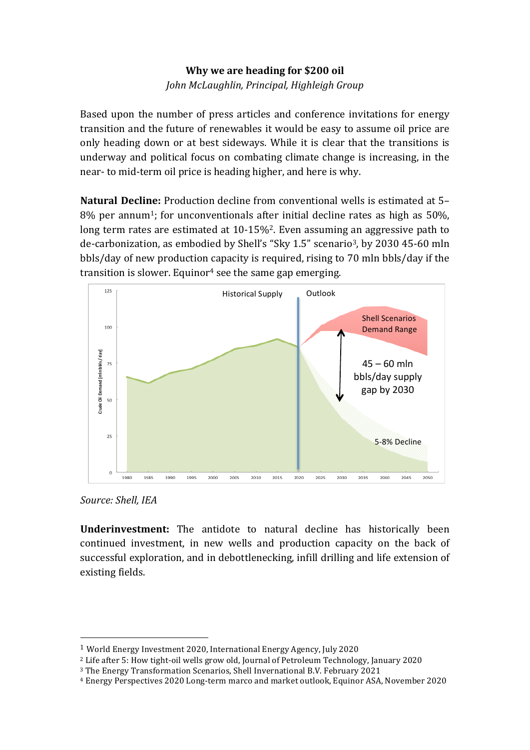# **Why** we are heading for \$200 oil *John McLaughlin, Principal, Highleigh Group*

Based upon the number of press articles and conference invitations for energy transition and the future of renewables it would be easy to assume oil price are only heading down or at best sideways. While it is clear that the transitions is underway and political focus on combating climate change is increasing, in the near- to mid-term oil price is heading higher, and here is why.

**Natural Decline:** Production decline from conventional wells is estimated at 5–  $8\%$  per annum<sup>1</sup>; for unconventionals after initial decline rates as high as 50%, long term rates are estimated at  $10-15\%$ <sup>2</sup>. Even assuming an aggressive path to de-carbonization, as embodied by Shell's "Sky 1.5" scenario<sup>3</sup>, by 2030 45-60 mln bbls/day of new production capacity is required, rising to 70 mln bbls/day if the transition is slower. Equinor<sup>4</sup> see the same gap emerging.



*Source: Shell, IEA*

 

**Underinvestment:** The antidote to natural decline has historically been continued investment, in new wells and production capacity on the back of successful exploration, and in debottlenecking, infill drilling and life extension of existing fields.

<sup>&</sup>lt;sup>1</sup> World Energy Investment 2020, International Energy Agency, July 2020

<sup>&</sup>lt;sup>2</sup> Life after 5: How tight-oil wells grow old, Journal of Petroleum Technology, January 2020

 $3$  The Energy Transformation Scenarios, Shell Invernational B.V. February 2021

<sup>&</sup>lt;sup>4</sup> Energy Perspectives 2020 Long-term marco and market outlook, Equinor ASA, November 2020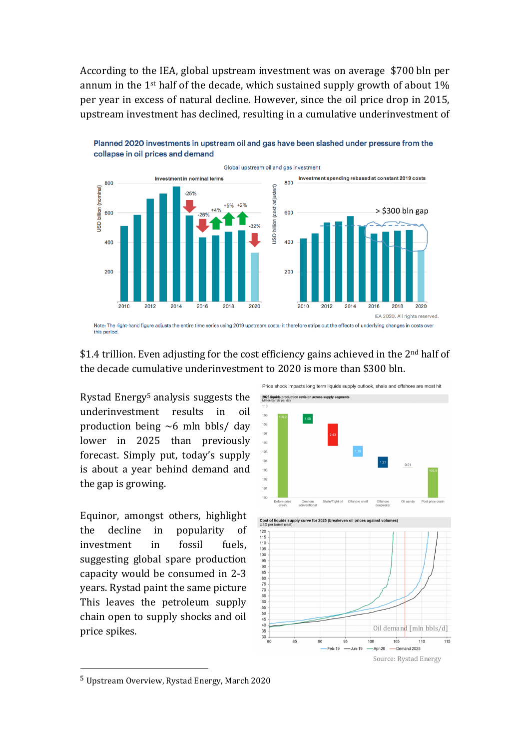According to the IEA, global upstream investment was on average \$700 bln per annum in the  $1^{st}$  half of the decade, which sustained supply growth of about  $1\%$ per year in excess of natural decline. However, since the oil price drop in 2015, upstream investment has declined, resulting in a cumulative underinvestment of



Planned 2020 investments in upstream oil and gas have been slashed under pressure from the collapse in oil prices and demand

## \$1.4 trillion. Even adjusting for the cost efficiency gains achieved in the  $2<sup>nd</sup>$  half of the decade cumulative underinvestment to 2020 is more than \$300 bln.

Rystad Energy<sup>5</sup> analysis suggests the underinvestment results in oil production being  $~6$  mln bbls/ day lower in 2025 than previously forecast. Simply put, today's supply is about a year behind demand and the gap is growing.

Equinor, amongst others, highlight the decline in popularity of investment in fossil fuels, suggesting global spare production capacity would be consumed in 2-3 years. Rystad paint the same picture This leaves the petroleum supply chain open to supply shocks and oil price spikes.



 $5$  Upstream Overview, Rystad Energy, March 2020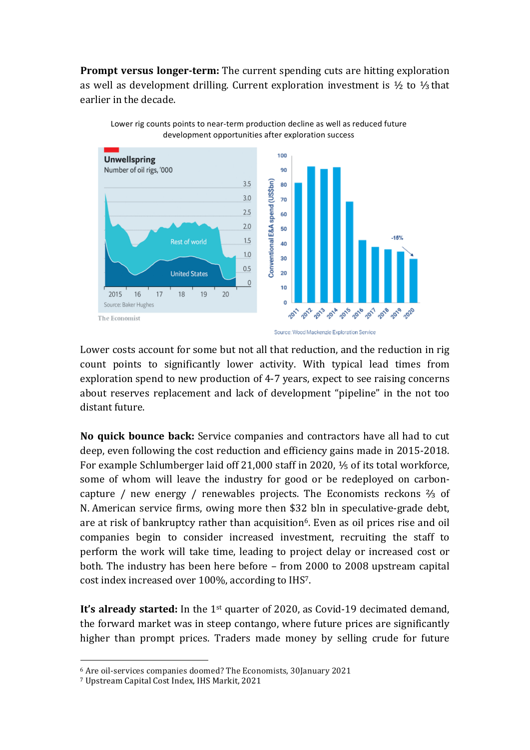**Prompt versus longer-term:** The current spending cuts are hitting exploration as well as development drilling. Current exploration investment is  $\frac{1}{2}$  to  $\frac{1}{3}$  that earlier in the decade.





Lower costs account for some but not all that reduction, and the reduction in rig count points to significantly lower activity. With typical lead times from exploration spend to new production of 4-7 years, expect to see raising concerns about reserves replacement and lack of development "pipeline" in the not too distant future.

**No quick bounce back:** Service companies and contractors have all had to cut deep, even following the cost reduction and efficiency gains made in 2015-2018. For example Schlumberger laid off  $21,000$  staff in 2020,  $\frac{1}{5}$  of its total workforce, some of whom will leave the industry for good or be redeployed on carboncapture / new energy / renewables projects. The Economists reckons  $\frac{2}{3}$  of N. American service firms, owing more then \$32 bln in speculative-grade debt, are at risk of bankruptcy rather than acquisition<sup>6</sup>. Even as oil prices rise and oil companies begin to consider increased investment, recruiting the staff to perform the work will take time, leading to project delay or increased cost or both. The industry has been here before - from 2000 to 2008 upstream capital cost index increased over 100%, according to IHS<sup>7</sup>.

**It's already started:** In the 1<sup>st</sup> quarter of 2020, as Covid-19 decimated demand, the forward market was in steep contango, where future prices are significantly higher than prompt prices. Traders made money by selling crude for future

 

<sup>6</sup> Are oil-services companies doomed? The Economists, 30January 2021

<sup>&</sup>lt;sup>7</sup> Upstream Capital Cost Index, IHS Markit, 2021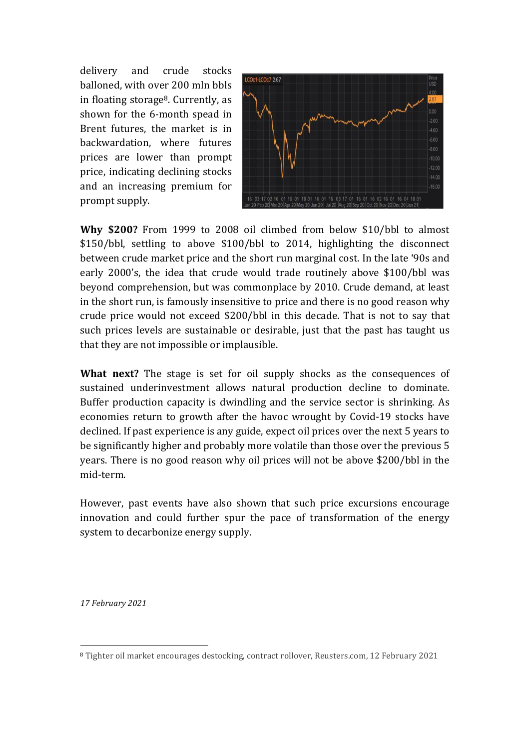delivery and crude stocks balloned, with over 200 mln bbls in floating storage<sup>8</sup>. Currently, as shown for the 6-month spead in Brent futures, the market is in backwardation, where futures prices are lower than prompt price, indicating declining stocks and an increasing premium for prompt supply.



**Why \$200?** From 1999 to 2008 oil climbed from below \$10/bbl to almost \$150/bbl, settling to above \$100/bbl to 2014, highlighting the disconnect between crude market price and the short run marginal cost. In the late '90s and early 2000's, the idea that crude would trade routinely above \$100/bbl was beyond comprehension, but was commonplace by 2010. Crude demand, at least in the short run, is famously insensitive to price and there is no good reason why crude price would not exceed \$200/bbl in this decade. That is not to sav that such prices levels are sustainable or desirable, just that the past has taught us that they are not impossible or implausible.

**What next?** The stage is set for oil supply shocks as the consequences of sustained underinvestment allows natural production decline to dominate. Buffer production capacity is dwindling and the service sector is shrinking. As economies return to growth after the havoc wrought by Covid-19 stocks have declined. If past experience is any guide, expect oil prices over the next 5 years to be significantly higher and probably more volatile than those over the previous 5 years. There is no good reason why oil prices will not be above \$200/bbl in the mid-term.

However, past events have also shown that such price excursions encourage innovation and could further spur the pace of transformation of the energy system to decarbonize energy supply.

*17 February 2021*

 

<sup>&</sup>lt;sup>8</sup> Tighter oil market encourages destocking, contract rollover, Reusters.com, 12 February 2021